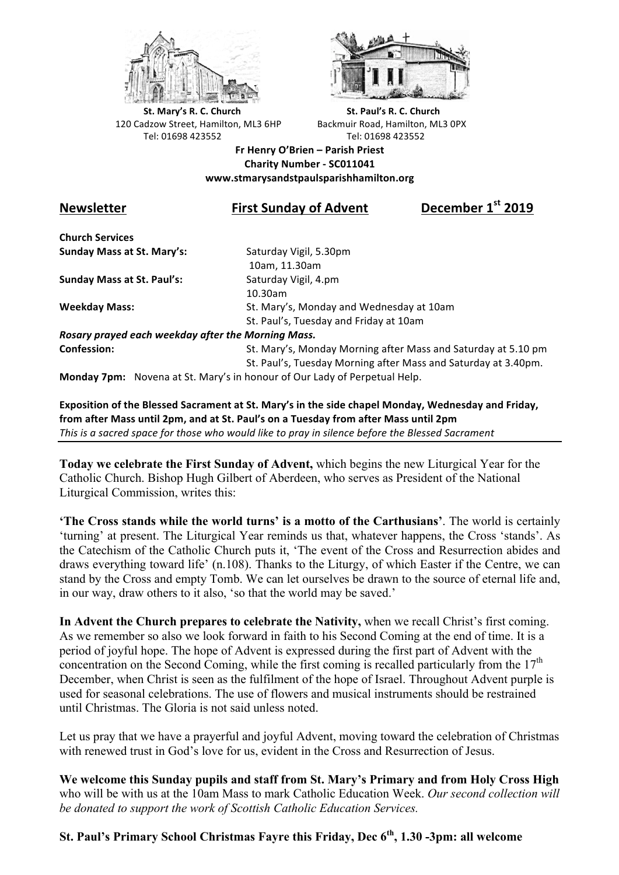



**St.** Mary's R. C. Church St. Paul's R. C. Church 120 Cadzow Street, Hamilton, ML3 6HP Backmuir Road, Hamilton, ML3 0PX Tel: 01698 423552 Tel: 01698 423552

**Fr Henry O'Brien – Parish Priest Charity Number - SC011041 www.stmarysandstpaulsparishhamilton.org**

## **Newsletter First Sunday of Advent December 1st 2019**

**Church Services Sunday Mass at St. Mary's:** Saturday Vigil, 5.30pm

**Sunday Mass at St. Paul's:** Saturday Vigil, 4.pm

 10am, 11.30am 10.30am **Weekday Mass:** St. Mary's, Monday and Wednesday at 10am St. Paul's, Tuesday and Friday at 10am

*Rosary prayed each weekday after the Morning Mass.* **Confession:** St. Mary's, Monday Morning after Mass and Saturday at 5.10 pm

St. Paul's, Tuesday Morning after Mass and Saturday at 3.40pm.

**Monday 7pm:** Novena at St. Mary's in honour of Our Lady of Perpetual Help.

**Exposition of the Blessed Sacrament at St. Mary's in the side chapel Monday, Wednesday and Friday,** from after Mass until 2pm, and at St. Paul's on a Tuesday from after Mass until 2pm This is a sacred space for those who would like to pray in silence before the Blessed Sacrament

**Today we celebrate the First Sunday of Advent,** which begins the new Liturgical Year for the Catholic Church. Bishop Hugh Gilbert of Aberdeen, who serves as President of the National Liturgical Commission, writes this:

**'The Cross stands while the world turns' is a motto of the Carthusians'**. The world is certainly 'turning' at present. The Liturgical Year reminds us that, whatever happens, the Cross 'stands'. As the Catechism of the Catholic Church puts it, 'The event of the Cross and Resurrection abides and draws everything toward life' (n.108). Thanks to the Liturgy, of which Easter if the Centre, we can stand by the Cross and empty Tomb. We can let ourselves be drawn to the source of eternal life and, in our way, draw others to it also, 'so that the world may be saved.'

**In Advent the Church prepares to celebrate the Nativity,** when we recall Christ's first coming. As we remember so also we look forward in faith to his Second Coming at the end of time. It is a period of joyful hope. The hope of Advent is expressed during the first part of Advent with the concentration on the Second Coming, while the first coming is recalled particularly from the  $17<sup>th</sup>$ December, when Christ is seen as the fulfilment of the hope of Israel. Throughout Advent purple is used for seasonal celebrations. The use of flowers and musical instruments should be restrained until Christmas. The Gloria is not said unless noted.

Let us pray that we have a prayerful and joyful Advent, moving toward the celebration of Christmas with renewed trust in God's love for us, evident in the Cross and Resurrection of Jesus.

**We welcome this Sunday pupils and staff from St. Mary's Primary and from Holy Cross High** who will be with us at the 10am Mass to mark Catholic Education Week. *Our second collection will be donated to support the work of Scottish Catholic Education Services.*

## **St. Paul's Primary School Christmas Fayre this Friday, Dec 6th, 1.30 -3pm: all welcome**